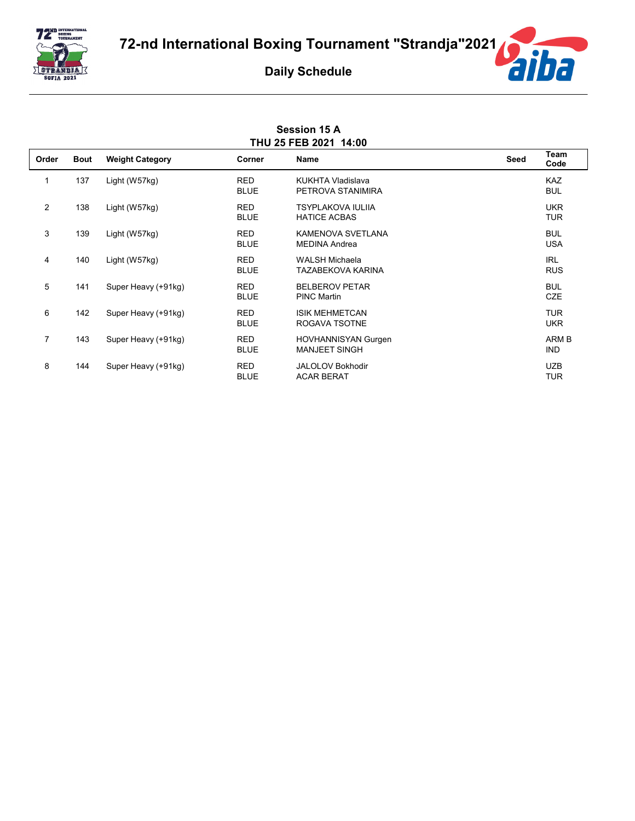



## **Session 15 A THU 25 FEB 2021 14:00**

| Order          | <b>Bout</b> | <b>Weight Category</b> | Corner                    | Name                                               | Seed | Team<br>Code             |
|----------------|-------------|------------------------|---------------------------|----------------------------------------------------|------|--------------------------|
| 1              | 137         | Light (W57kg)          | <b>RED</b><br><b>BLUE</b> | <b>KUKHTA Vladislava</b><br>PETROVA STANIMIRA      |      | <b>KAZ</b><br><b>BUL</b> |
| 2              | 138         | Light (W57kg)          | <b>RED</b><br><b>BLUE</b> | <b>TSYPLAKOVA IULIIA</b><br><b>HATICE ACBAS</b>    |      | <b>UKR</b><br><b>TUR</b> |
| 3              | 139         | Light (W57kg)          | <b>RED</b><br><b>BLUE</b> | KAMENOVA SVETLANA<br><b>MEDINA Andrea</b>          |      | <b>BUL</b><br><b>USA</b> |
| $\overline{4}$ | 140         | Light (W57kg)          | <b>RED</b><br><b>BLUE</b> | WALSH Michaela<br>TAZABEKOVA KARINA                |      | <b>IRL</b><br><b>RUS</b> |
| 5              | 141         | Super Heavy (+91kg)    | <b>RED</b><br><b>BLUE</b> | <b>BELBEROV PETAR</b><br><b>PINC Martin</b>        |      | <b>BUL</b><br><b>CZE</b> |
| 6              | 142         | Super Heavy (+91kg)    | <b>RED</b><br><b>BLUE</b> | <b>ISIK MEHMETCAN</b><br>ROGAVA TSOTNE             |      | <b>TUR</b><br><b>UKR</b> |
| $\overline{7}$ | 143         | Super Heavy (+91kg)    | <b>RED</b><br><b>BLUE</b> | <b>HOVHANNISYAN Gurgen</b><br><b>MANJEET SINGH</b> |      | ARM B<br><b>IND</b>      |
| 8              | 144         | Super Heavy (+91kg)    | <b>RED</b><br><b>BLUE</b> | <b>JALOLOV Bokhodir</b><br><b>ACAR BERAT</b>       |      | <b>UZB</b><br><b>TUR</b> |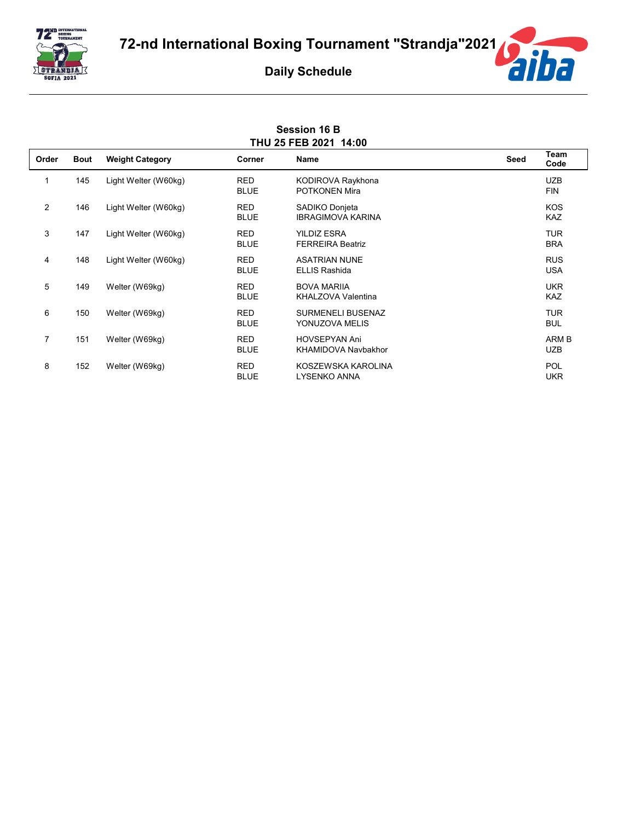



## **Session 16 B THU 25 FEB 2021 14:00**

| Order          | <b>Bout</b> | <b>Weight Category</b> | Corner                    | Name                                         | Seed | Team<br>Code             |
|----------------|-------------|------------------------|---------------------------|----------------------------------------------|------|--------------------------|
| 1              | 145         | Light Welter (W60kg)   | <b>RED</b><br><b>BLUE</b> | KODIROVA Raykhona<br>POTKONEN Mira           |      | <b>UZB</b><br><b>FIN</b> |
| 2              | 146         | Light Welter (W60kg)   | <b>RED</b><br><b>BLUE</b> | SADIKO Donjeta<br><b>IBRAGIMOVA KARINA</b>   |      | <b>KOS</b><br><b>KAZ</b> |
| 3              | 147         | Light Welter (W60kg)   | <b>RED</b><br><b>BLUE</b> | YILDIZ ESRA<br><b>FERREIRA Beatriz</b>       |      | <b>TUR</b><br><b>BRA</b> |
| 4              | 148         | Light Welter (W60kg)   | <b>RED</b><br><b>BLUE</b> | <b>ASATRIAN NUNE</b><br><b>ELLIS Rashida</b> |      | <b>RUS</b><br><b>USA</b> |
| 5              | 149         | Welter (W69kg)         | <b>RED</b><br><b>BLUE</b> | <b>BOVA MARIIA</b><br>KHALZOVA Valentina     |      | <b>UKR</b><br><b>KAZ</b> |
| 6              | 150         | Welter (W69kg)         | <b>RED</b><br><b>BLUE</b> | <b>SURMENELI BUSENAZ</b><br>YONUZOVA MELIS   |      | <b>TUR</b><br><b>BUL</b> |
| $\overline{7}$ | 151         | Welter (W69kg)         | <b>RED</b><br><b>BLUE</b> | <b>HOVSEPYAN Ani</b><br>KHAMIDOVA Navbakhor  |      | ARM B<br><b>UZB</b>      |
| 8              | 152         | Welter (W69kg)         | <b>RED</b><br><b>BLUE</b> | KOSZEWSKA KAROLINA<br><b>LYSENKO ANNA</b>    |      | <b>POL</b><br><b>UKR</b> |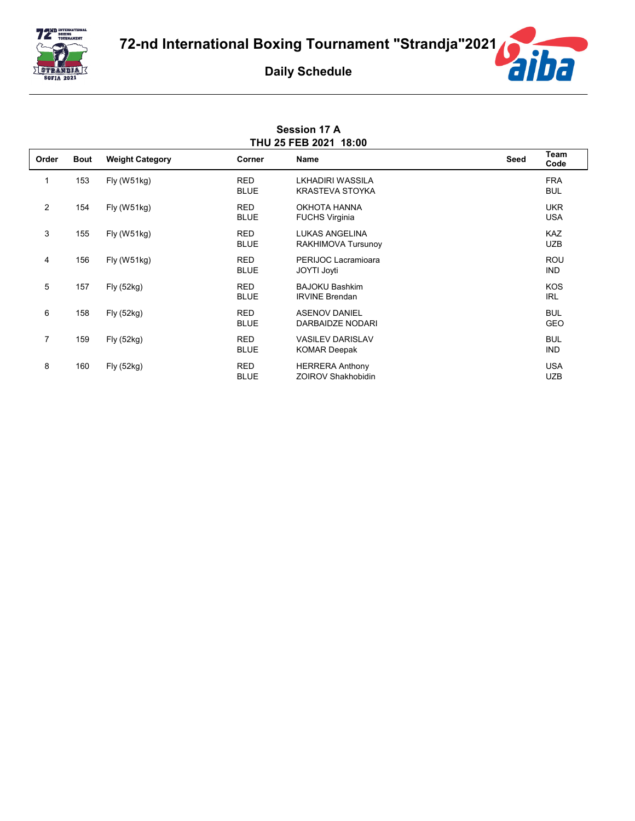



## **Session 17 A THU 25 FEB 2021 18:00**

| Order          | <b>Bout</b> | <b>Weight Category</b> | Corner                    | <b>Name</b>                                         | Seed | Team<br>Code             |
|----------------|-------------|------------------------|---------------------------|-----------------------------------------------------|------|--------------------------|
| 1              | 153         | Fly (W51kg)            | <b>RED</b><br><b>BLUE</b> | LKHADIRI WASSILA<br><b>KRASTEVA STOYKA</b>          |      | <b>FRA</b><br><b>BUL</b> |
| $\mathbf{2}$   | 154         | Fly (W51kg)            | <b>RED</b><br><b>BLUE</b> | OKHOTA HANNA<br><b>FUCHS Virginia</b>               |      | <b>UKR</b><br><b>USA</b> |
| 3              | 155         | Fly (W51kg)            | <b>RED</b><br><b>BLUE</b> | <b>LUKAS ANGELINA</b><br>RAKHIMOVA Tursunoy         |      | <b>KAZ</b><br><b>UZB</b> |
| 4              | 156         | Fly(W51kg)             | <b>RED</b><br><b>BLUE</b> | PERIJOC Lacramioara<br>JOYTI Joyti                  |      | <b>ROU</b><br><b>IND</b> |
| 5              | 157         | Fly (52kg)             | <b>RED</b><br><b>BLUE</b> | <b>BAJOKU Bashkim</b><br><b>IRVINE Brendan</b>      |      | <b>KOS</b><br><b>IRL</b> |
| 6              | 158         | Fly(52kg)              | <b>RED</b><br><b>BLUE</b> | <b>ASENOV DANIEL</b><br>DARBAIDZE NODARI            |      | <b>BUL</b><br><b>GEO</b> |
| $\overline{7}$ | 159         | Fly(52kg)              | <b>RED</b><br><b>BLUE</b> | <b>VASILEV DARISLAV</b><br><b>KOMAR Deepak</b>      |      | <b>BUL</b><br><b>IND</b> |
| 8              | 160         | Fly (52kg)             | <b>RED</b><br><b>BLUE</b> | <b>HERRERA Anthony</b><br><b>ZOIROV Shakhobidin</b> |      | <b>USA</b><br><b>UZB</b> |